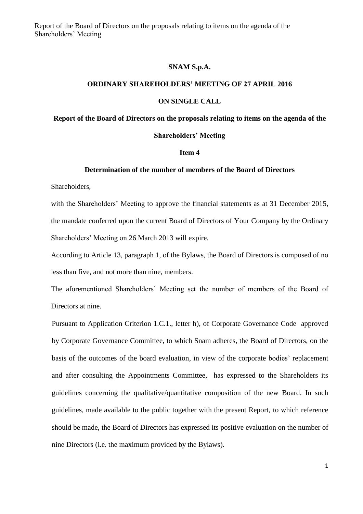Report of the Board of Directors on the proposals relating to items on the agenda of the Shareholders' Meeting

### **SNAM S.p.A.**

## **ORDINARY SHAREHOLDERS' MEETING OF 27 APRIL 2016**

#### **ON SINGLE CALL**

# **Report of the Board of Directors on the proposals relating to items on the agenda of the**

### **Shareholders' Meeting**

### **Item 4**

#### **Determination of the number of members of the Board of Directors**

Shareholders,

with the Shareholders' Meeting to approve the financial statements as at 31 December 2015, the mandate conferred upon the current Board of Directors of Your Company by the Ordinary Shareholders' Meeting on 26 March 2013 will expire.

According to Article 13, paragraph 1, of the Bylaws, the Board of Directors is composed of no less than five, and not more than nine, members.

The aforementioned Shareholders' Meeting set the number of members of the Board of Directors at nine.

Pursuant to Application Criterion 1.C.1., letter h), of Corporate Governance Code approved by Corporate Governance Committee, to which Snam adheres, the Board of Directors, on the basis of the outcomes of the board evaluation, in view of the corporate bodies' replacement and after consulting the Appointments Committee, has expressed to the Shareholders its guidelines concerning the qualitative/quantitative composition of the new Board. In such guidelines, made available to the public together with the present Report, to which reference should be made, the Board of Directors has expressed its positive evaluation on the number of nine Directors (i.e. the maximum provided by the Bylaws).